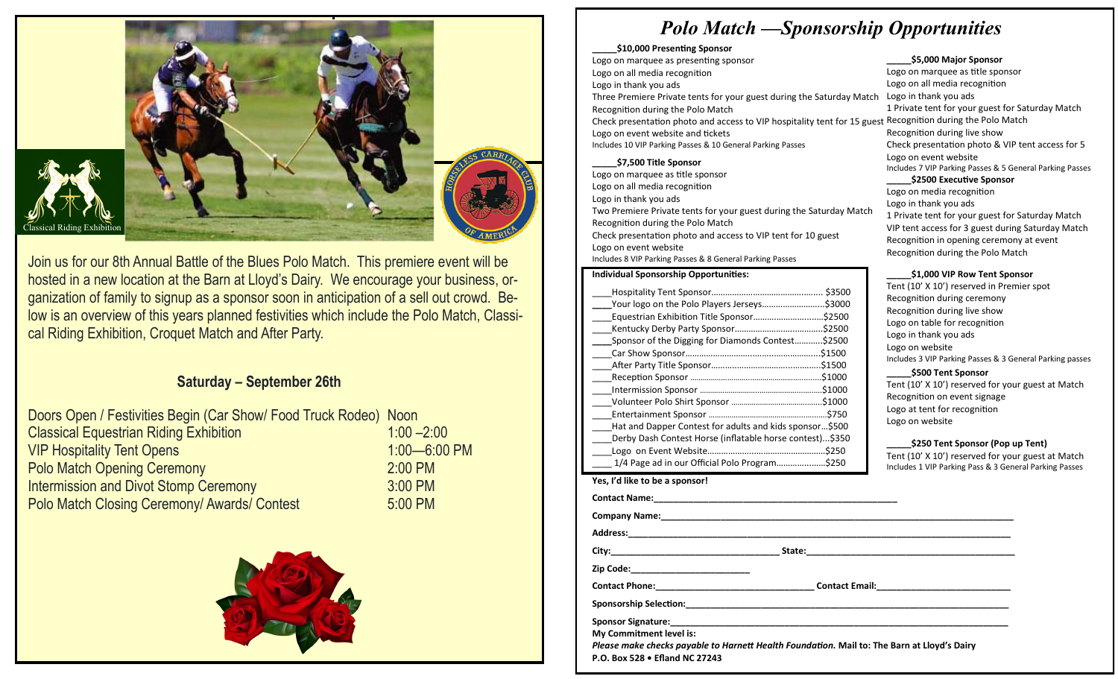

Join us for our 8th Annual Battle of the Blues Polo Match. This premiere event will be hosted in a new location at the Barn at Lloyd's Dairy. We encourage your business, organization of family to signup as a sponsor soon in anticipation of a sell out crowd. Below is an overview of this years planned festivities which include the Polo Match, Classical Riding Exhibition, Croquet Match and After Party.

# **Saturday – September 26th**

| Doors Open / Festivities Begin (Car Show/ Food Truck Rodeo) Noon |
|------------------------------------------------------------------|
| $1:00 - 2:00$                                                    |
| 1:00-6:00 PM                                                     |
| 2:00 PM                                                          |
| 3:00 PM                                                          |
| 5:00 PM                                                          |
|                                                                  |



# *Polo Match —Sponsorship Opportunities*

#### **\_\_\_\_\_\$10,000 Presenting Sponsor**

Three Premiere Private tents for your guest during the Saturday Match Logo in thank you ads Check presentation photo and access to VIP hospitality tent for 15 guest Recognition during the Polo Match Logo on marquee as presenting sponsor Logo on all media recognition Logo in thank you ads Recognition during the Polo Match Logo on event website and tickets Includes 10 VIP Parking Passes & 10 General Parking Passes

**\_\_\_\_\_\$7,500 Title Sponsor**

Logo on marquee as title sponsor Logo on all media recognition Logo in thank you ads Two Premiere Private tents for your guest during the Saturday Match Recognition during the Polo Match Check presentation photo and access to VIP tent for 10 guest Logo on event website Includes 8 VIP Parking Passes & 8 General Parking Passes

#### **Individual Sponsorship Opportunities:**

| Equestrian Exhibition Title Sponsor\$2500                | \$3500<br>.\$3000 |
|----------------------------------------------------------|-------------------|
|                                                          | .\$2500           |
| Sponsor of the Digging for Diamonds Contest              | .\$2500           |
|                                                          |                   |
|                                                          | \$1500.           |
|                                                          | \$1000.           |
|                                                          | \$1000.           |
|                                                          |                   |
|                                                          | \$750.            |
| Hat and Dapper Contest for adults and kids sponsor\$500  |                   |
| Derby Dash Contest Horse (inflatable horse contest)\$350 |                   |
|                                                          | \$250.            |
| 1/4 Page ad in our Official Polo Program\$250            |                   |

# **\_\_\_\_\_\$5,000 Major Sponsor**

Logo on marquee as title sponsor Logo on all media recognition 1 Private tent for your guest for Saturday Match Recognition during live show Check presentation photo & VIP tent access for 5 Logo on event website Includes 7 VIP Parking Passes & 5 General Parking Passes **\_\_\_\_\_\$2500 Executive Sponsor** Logo on media recognition Logo in thank you ads 1 Private tent for your guest for Saturday Match VIP tent access for 3 guest during Saturday Match Recognition in opening ceremony at event Recognition during the Polo Match

## **\_\_\_\_\_\$1,000 VIP Row Tent Sponsor**

Tent (10' X 10') reserved in Premier spot Recognition during ceremony Recognition during live show Logo on table for recognition Logo in thank you ads Logo on website Includes 3 VIP Parking Passes & 3 General Parking passes

## **\_\_\_\_\_\$500 Tent Sponsor**

Tent (10' X 10') reserved for your guest at Match Recognition on event signage Logo at tent for recognition Logo on website

**\_\_\_\_\_\$250 Tent Sponsor (Pop up Tent)** Tent (10' X 10') reserved for your guest at Match Includes 1 VIP Parking Pass & 3 General Parking Passes

|                                | Incli |
|--------------------------------|-------|
| Yes, I'd like to be a sponsor! |       |
| <b>Contact Name:</b>           |       |

**Company Name:\_\_\_\_\_\_\_\_\_\_\_\_\_\_\_\_\_\_\_\_\_\_\_\_\_\_\_\_\_\_\_\_\_\_\_\_\_\_\_\_\_\_\_\_\_\_\_\_\_\_\_\_\_\_\_\_\_\_\_\_\_\_\_\_\_\_\_\_\_\_\_**  $\blacktriangle$  Address: **City: City: City: City: State:** *City:* **<b>State:** *City: City: City: City: City: City: City: City: City: City: City: City: City: City: City: City: C* **Zip Code:\_\_\_\_\_\_\_\_\_\_\_\_\_\_\_\_\_\_\_\_\_\_\_\_ Contact Phone:\_\_\_\_\_\_\_\_\_\_\_\_\_\_\_\_\_\_\_\_\_\_\_\_\_\_\_\_\_\_\_\_ Contact Email:\_\_\_\_\_\_\_\_\_\_\_\_\_\_\_\_\_\_\_\_\_\_\_\_\_\_\_**

**Sponsorship Selection:\_\_\_\_\_\_\_\_\_\_\_\_\_\_\_\_\_\_\_\_\_\_\_\_\_\_\_\_\_\_\_\_\_\_\_\_\_\_\_\_\_\_\_\_\_\_\_\_\_\_\_\_\_\_\_\_\_\_\_\_\_\_\_\_\_**

Sponsor Signature:

**My Commitment level is:**

*Please make checks payable to Harnett Health Foundation.* **Mail to: The Barn at Lloyd's Dairy P.O. Box 528 • Efland NC 27243**